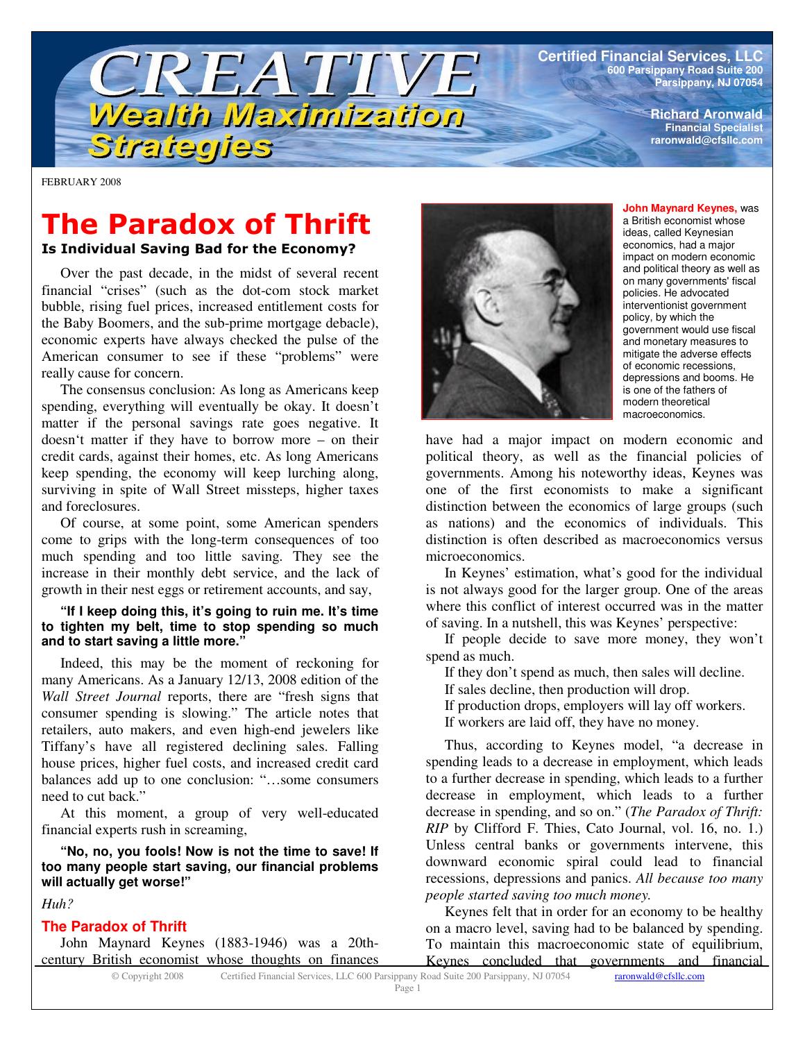**Certified Financial Services, LLC 600 Parsippany Road Suite 200 Parsippany, NJ 07054**

> **Richard Aronwald Financial Specialist raronwald@cfsllc.com**

FEBRUARY 2008

# **The Paradox of Thrift**

TREATIVE

Wealth Maximization

Is Individual Saving Bad for the Economy?

Strategies

Over the past decade, in the midst of several recent financial "crises" (such as the dot-com stock market bubble, rising fuel prices, increased entitlement costs for the Baby Boomers, and the sub-prime mortgage debacle), economic experts have always checked the pulse of the American consumer to see if these "problems" were really cause for concern.

The consensus conclusion: As long as Americans keep spending, everything will eventually be okay. It doesn't matter if the personal savings rate goes negative. It doesn't matter if they have to borrow more – on their credit cards, against their homes, etc. As long Americans keep spending, the economy will keep lurching along, surviving in spite of Wall Street missteps, higher taxes and foreclosures.

Of course, at some point, some American spenders come to grips with the long-term consequences of too much spending and too little saving. They see the increase in their monthly debt service, and the lack of growth in their nest eggs or retirement accounts, and say,

#### **"If I keep doing this, it's going to ruin me. It's time to tighten my belt, time to stop spending so much and to start saving a little more."**

Indeed, this may be the moment of reckoning for many Americans. As a January 12/13, 2008 edition of the *Wall Street Journal* reports, there are "fresh signs that consumer spending is slowing." The article notes that retailers, auto makers, and even high-end jewelers like Tiffany's have all registered declining sales. Falling house prices, higher fuel costs, and increased credit card balances add up to one conclusion: "…some consumers need to cut back."

At this moment, a group of very well-educated financial experts rush in screaming,

**"No, no, you fools! Now is not the time to save! If too many people start saving, our financial problems will actually get worse!"**

*Huh?*

### **The Paradox of Thrift**

John Maynard Keynes (1883-1946) was a 20thcentury British economist whose thoughts on finances



**John Maynard Keynes,** was a British economist whose ideas, called Keynesian economics, had a major impact on modern economic and political theory as well as on many governments' fiscal policies. He advocated interventionist government policy, by which the government would use fiscal and monetary measures to mitigate the adverse effects of economic recessions, depressions and booms. He is one of the fathers of modern theoretical macroeconomics.

have had a major impact on modern economic and political theory, as well as the financial policies of governments. Among his noteworthy ideas, Keynes was one of the first economists to make a significant distinction between the economics of large groups (such as nations) and the economics of individuals. This distinction is often described as macroeconomics versus microeconomics.

In Keynes' estimation, what's good for the individual is not always good for the larger group. One of the areas where this conflict of interest occurred was in the matter of saving. In a nutshell, this was Keynes' perspective:

If people decide to save more money, they won't spend as much.

If they don't spend as much, then sales will decline.

- If sales decline, then production will drop.
- If production drops, employers will lay off workers.

If workers are laid off, they have no money.

Thus, according to Keynes model, "a decrease in spending leads to a decrease in employment, which leads to a further decrease in spending, which leads to a further decrease in employment, which leads to a further decrease in spending, and so on." (*The Paradox of Thrift: RIP* by Clifford F. Thies, Cato Journal, vol. 16, no. 1.) Unless central banks or governments intervene, this downward economic spiral could lead to financial recessions, depressions and panics. *All because too many people started saving too much money.*

Keynes felt that in order for an economy to be healthy on a macro level, saving had to be balanced by spending. To maintain this macroeconomic state of equilibrium, Keynes concluded that governments and financial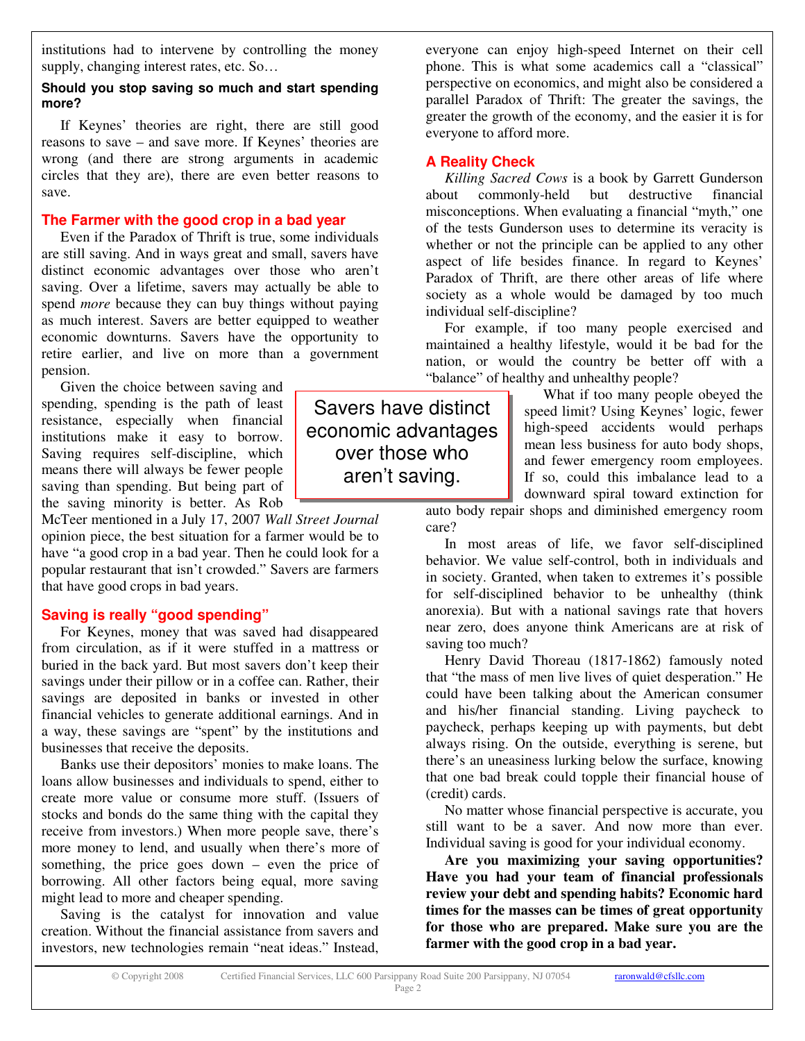institutions had to intervene by controlling the money supply, changing interest rates, etc. So…

### **Should you stop saving so much and start spending more?**

If Keynes' theories are right, there are still good reasons to save – and save more. If Keynes' theories are wrong (and there are strong arguments in academic circles that they are), there are even better reasons to save.

### **The Farmer with the good crop in a bad year**

Even if the Paradox of Thrift is true, some individuals are still saving. And in ways great and small, savers have distinct economic advantages over those who aren't saving. Over a lifetime, savers may actually be able to spend *more* because they can buy things without paying as much interest. Savers are better equipped to weather economic downturns. Savers have the opportunity to retire earlier, and live on more than a government pension.

Given the choice between saving and spending, spending is the path of least resistance, especially when financial institutions make it easy to borrow. Saving requires self-discipline, which means there will always be fewer people saving than spending. But being part of the saving minority is better. As Rob

McTeer mentioned in a July 17, 2007 *Wall Street Journal* opinion piece, the best situation for a farmer would be to have "a good crop in a bad year. Then he could look for a popular restaurant that isn't crowded." Savers are farmers that have good crops in bad years.

# **Saving is really "good spending"**

For Keynes, money that was saved had disappeared from circulation, as if it were stuffed in a mattress or buried in the back yard. But most savers don't keep their savings under their pillow or in a coffee can. Rather, their savings are deposited in banks or invested in other financial vehicles to generate additional earnings. And in a way, these savings are "spent" by the institutions and businesses that receive the deposits.

Banks use their depositors' monies to make loans. The loans allow businesses and individuals to spend, either to create more value or consume more stuff. (Issuers of stocks and bonds do the same thing with the capital they receive from investors.) When more people save, there's more money to lend, and usually when there's more of something, the price goes down – even the price of borrowing. All other factors being equal, more saving might lead to more and cheaper spending.

Saving is the catalyst for innovation and value creation. Without the financial assistance from savers and investors, new technologies remain "neat ideas." Instead,

everyone can enjoy high-speed Internet on their cell phone. This is what some academics call a "classical" perspective on economics, and might also be considered a parallel Paradox of Thrift: The greater the savings, the greater the growth of the economy, and the easier it is for everyone to afford more.

### **A Reality Check**

*Killing Sacred Cows* is a book by Garrett Gunderson about commonly-held but destructive financial misconceptions. When evaluating a financial "myth," one of the tests Gunderson uses to determine its veracity is whether or not the principle can be applied to any other aspect of life besides finance. In regard to Keynes' Paradox of Thrift, are there other areas of life where society as a whole would be damaged by too much individual self-discipline?

For example, if too many people exercised and maintained a healthy lifestyle, would it be bad for the nation, or would the country be better off with a "balance" of healthy and unhealthy people?

> What if too many people obeyed the speed limit? Using Keynes' logic, fewer high-speed accidents would perhaps mean less business for auto body shops, and fewer emergency room employees. If so, could this imbalance lead to a downward spiral toward extinction for

auto body repair shops and diminished emergency room care?

In most areas of life, we favor self-disciplined behavior. We value self-control, both in individuals and in society. Granted, when taken to extremes it's possible for self-disciplined behavior to be unhealthy (think anorexia). But with a national savings rate that hovers near zero, does anyone think Americans are at risk of saving too much?

Henry David Thoreau (1817-1862) famously noted that "the mass of men live lives of quiet desperation." He could have been talking about the American consumer and his/her financial standing. Living paycheck to paycheck, perhaps keeping up with payments, but debt always rising. On the outside, everything is serene, but there's an uneasiness lurking below the surface, knowing that one bad break could topple their financial house of (credit) cards.

No matter whose financial perspective is accurate, you still want to be a saver. And now more than ever. Individual saving is good for your individual economy.

**Are you maximizing your saving opportunities? Have you had your team of financial professionals review your debt and spending habits? Economic hard times for the masses can be times of great opportunity for those who are prepared. Make sure you are the farmer with the good crop in a bad year.**

Savers have distinct economic advantages over those who aren't saving.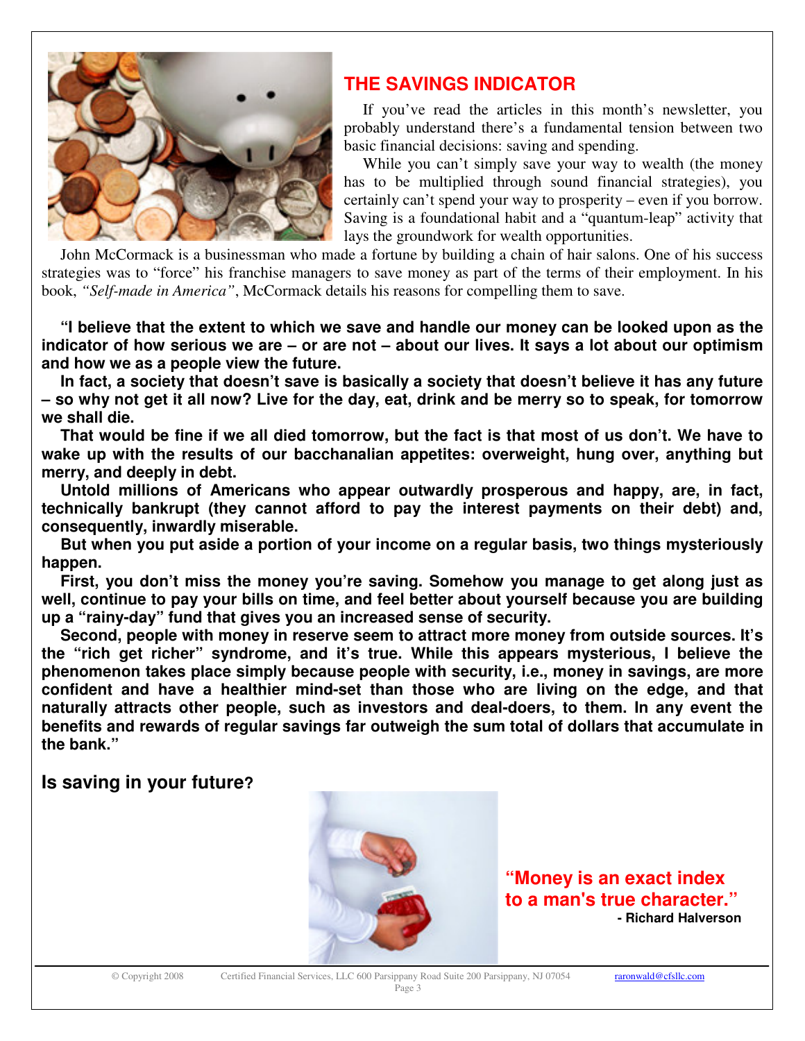

# **THE SAVINGS INDICATOR**

If you've read the articles in this month's newsletter, you probably understand there's a fundamental tension between two basic financial decisions: saving and spending.

While you can't simply save your way to wealth (the money has to be multiplied through sound financial strategies), you certainly can't spend your way to prosperity – even if you borrow. Saving is a foundational habit and a "quantum-leap" activity that lays the groundwork for wealth opportunities.

John McCormack is a businessman who made a fortune by building a chain of hair salons. One of his success strategies was to "force" his franchise managers to save money as part of the terms of their employment. In his book, *"Self-made in America"*, McCormack details his reasons for compelling them to save.

**"I believe that the extent to which we save and handle our money can be looked upon as the** indicator of how serious we are – or are not – about our lives. It says a lot about our optimism **and how we as a people view the future.**

**In fact, a society that doesn't save is basically a society that doesn't believe it has any future** - so why not get it all now? Live for the day, eat, drink and be merry so to speak, for tomorrow **we shall die.**

That would be fine if we all died tomorrow, but the fact is that most of us don't. We have to **wake up with the results of our bacchanalian appetites: overweight, hung over, anything but merry, and deeply in debt.**

**Untold millions of Americans who appear outwardly prosperous and happy, are, in fact, technically bankrupt (they cannot afford to pay the interest payments on their debt) and, consequently, inwardly miserable.**

**But when you put aside a portion of your income on a regular basis, two things mysteriously happen.**

**First, you don't miss the money you're saving. Somehow you manage to get along just as well, continue to pay your bills on time, and feel better about yourself because you are building up a "rainy-day" fund that gives you an increased sense of security.**

**Second, people with money in reserve seem to attract more money from outside sources. It's the "rich get richer" syndrome, and it's true. While this appears mysterious, I believe the phenomenon takes place simply because people with security, i.e., money in savings, are more confident and have a healthier mind-set than those who are living on the edge, and that naturally attracts other people, such as investors and deal-doers, to them. In any event the benefits and rewards of regular savings far outweigh the sum total of dollars that accumulate in the bank."**

# **Is saving in your future?**



**"Money is an exact index to a man's true character." - Richard Halverson**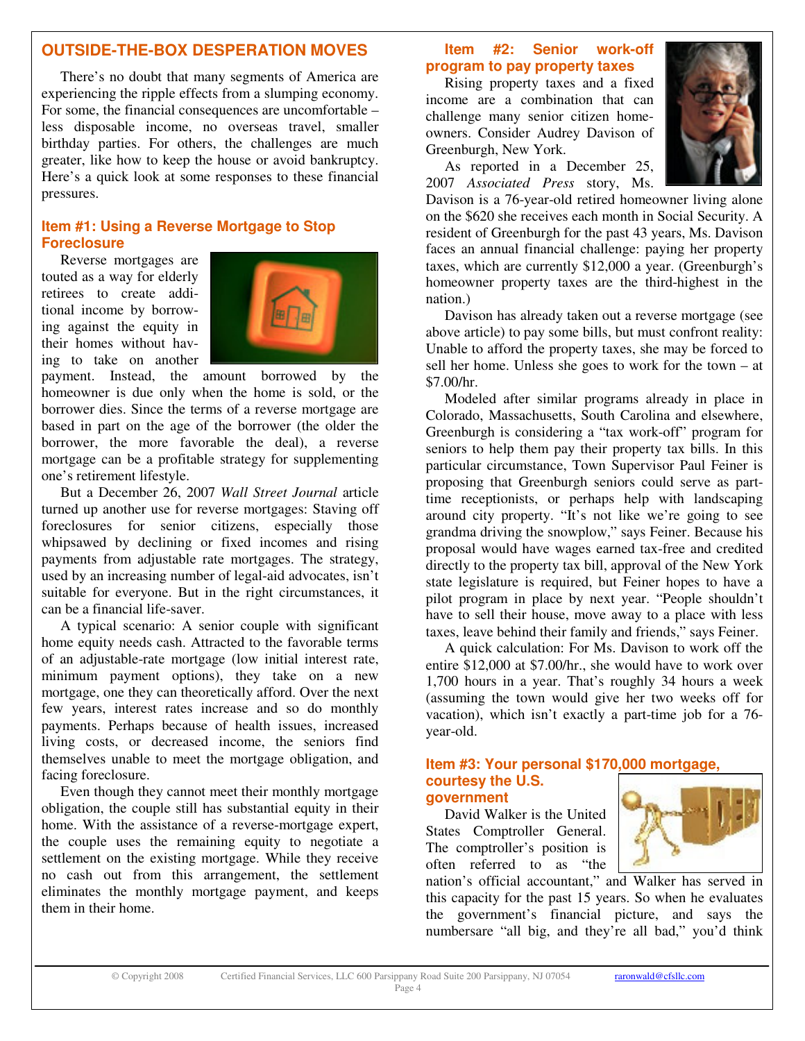# **OUTSIDE-THE-BOX DESPERATION MOVES**

There's no doubt that many segments of America are experiencing the ripple effects from a slumping economy. For some, the financial consequences are uncomfortable – less disposable income, no overseas travel, smaller birthday parties. For others, the challenges are much greater, like how to keep the house or avoid bankruptcy. Here's a quick look at some responses to these financial pressures.

# **Item #1: Using a Reverse Mortgage to Stop Foreclosure**

Reverse mortgages are touted as a way for elderly retirees to create additional income by borrowing against the equity in their homes without having to take on another



payment. Instead, the amount borrowed by the homeowner is due only when the home is sold, or the borrower dies. Since the terms of a reverse mortgage are based in part on the age of the borrower (the older the borrower, the more favorable the deal), a reverse mortgage can be a profitable strategy for supplementing one's retirement lifestyle.

But a December 26, 2007 *Wall Street Journal* article turned up another use for reverse mortgages: Staving off foreclosures for senior citizens, especially those whipsawed by declining or fixed incomes and rising payments from adjustable rate mortgages. The strategy, used by an increasing number of legal-aid advocates, isn't suitable for everyone. But in the right circumstances, it can be a financial life-saver.

A typical scenario: A senior couple with significant home equity needs cash. Attracted to the favorable terms of an adjustable-rate mortgage (low initial interest rate, minimum payment options), they take on a new mortgage, one they can theoretically afford. Over the next few years, interest rates increase and so do monthly payments. Perhaps because of health issues, increased living costs, or decreased income, the seniors find themselves unable to meet the mortgage obligation, and facing foreclosure.

Even though they cannot meet their monthly mortgage obligation, the couple still has substantial equity in their home. With the assistance of a reverse-mortgage expert, the couple uses the remaining equity to negotiate a settlement on the existing mortgage. While they receive no cash out from this arrangement, the settlement eliminates the monthly mortgage payment, and keeps them in their home.

### **Item #2: Senior work-off program to pay property taxes**

Rising property taxes and a fixed income are a combination that can challenge many senior citizen homeowners. Consider Audrey Davison of Greenburgh, New York.



As reported in a December 25, 2007 *Associated Press* story, Ms.

Davison is a 76-year-old retired homeowner living alone on the \$620 she receives each month in Social Security. A resident of Greenburgh for the past 43 years, Ms. Davison faces an annual financial challenge: paying her property taxes, which are currently \$12,000 a year. (Greenburgh's homeowner property taxes are the third-highest in the nation.)

Davison has already taken out a reverse mortgage (see above article) to pay some bills, but must confront reality: Unable to afford the property taxes, she may be forced to sell her home. Unless she goes to work for the town – at \$7.00/hr.

Modeled after similar programs already in place in Colorado, Massachusetts, South Carolina and elsewhere, Greenburgh is considering a "tax work-off" program for seniors to help them pay their property tax bills. In this particular circumstance, Town Supervisor Paul Feiner is proposing that Greenburgh seniors could serve as parttime receptionists, or perhaps help with landscaping around city property. "It's not like we're going to see grandma driving the snowplow," says Feiner. Because his proposal would have wages earned tax-free and credited directly to the property tax bill, approval of the New York state legislature is required, but Feiner hopes to have a pilot program in place by next year. "People shouldn't have to sell their house, move away to a place with less taxes, leave behind their family and friends," says Feiner.

A quick calculation: For Ms. Davison to work off the entire \$12,000 at \$7.00/hr., she would have to work over 1,700 hours in a year. That's roughly 34 hours a week (assuming the town would give her two weeks off for vacation), which isn't exactly a part-time job for a 76 year-old.

#### **Item #3: Your personal \$170,000 mortgage, courtesy the U.S. government**

David Walker is the United States Comptroller General. The comptroller's position is often referred to as "the

nation's official accountant," and Walker has served in this capacity for the past 15 years. So when he evaluates the government's financial picture, and says the numbersare "all big, and they're all bad," you'd think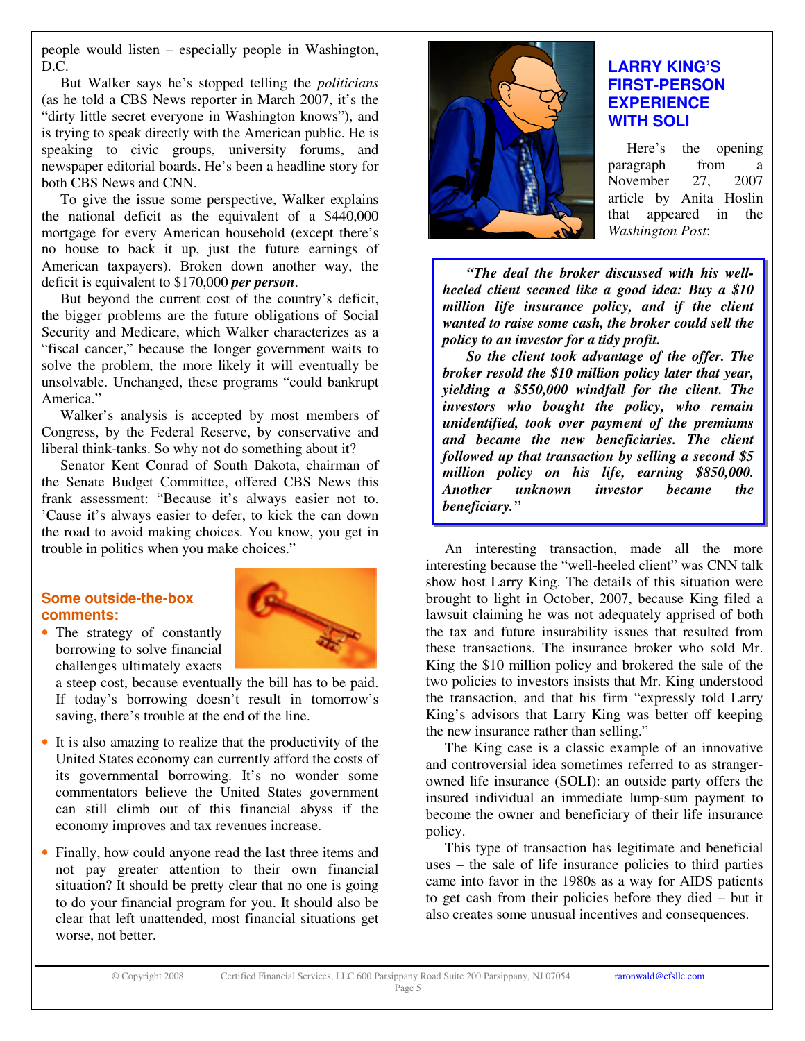people would listen – especially people in Washington, D.C.

But Walker says he's stopped telling the *politicians* (as he told a CBS News reporter in March 2007, it's the "dirty little secret everyone in Washington knows"), and is trying to speak directly with the American public. He is speaking to civic groups, university forums, and newspaper editorial boards. He's been a headline story for both CBS News and CNN.

To give the issue some perspective, Walker explains the national deficit as the equivalent of a \$440,000 mortgage for every American household (except there's no house to back it up, just the future earnings of American taxpayers). Broken down another way, the deficit is equivalent to \$170,000 *per person*.

But beyond the current cost of the country's deficit, the bigger problems are the future obligations of Social Security and Medicare, which Walker characterizes as a "fiscal cancer," because the longer government waits to solve the problem, the more likely it will eventually be unsolvable. Unchanged, these programs "could bankrupt America."

Walker's analysis is accepted by most members of Congress, by the Federal Reserve, by conservative and liberal think-tanks. So why not do something about it?

Senator Kent Conrad of South Dakota, chairman of the Senate Budget Committee, offered CBS News this frank assessment: "Because it's always easier not to. 'Cause it's always easier to defer, to kick the can down the road to avoid making choices. You know, you get in trouble in politics when you make choices."

## **Some outside-the-box comments:**



• The strategy of constantly borrowing to solve financial challenges ultimately exacts

a steep cost, because eventually the bill has to be paid. If today's borrowing doesn't result in tomorrow's saving, there's trouble at the end of the line.

- It is also amazing to realize that the productivity of the United States economy can currently afford the costs of its governmental borrowing. It's no wonder some commentators believe the United States government can still climb out of this financial abyss if the economy improves and tax revenues increase.
- Finally, how could anyone read the last three items and not pay greater attention to their own financial situation? It should be pretty clear that no one is going to do your financial program for you. It should also be clear that left unattended, most financial situations get worse, not better.



# **LARRY KING'S FIRST-PERSON EXPERIENCE WITH SOLI**

Here's the opening paragraph from a November 27, 2007 article by Anita Hoslin that appeared in the *Washington Post*:

*"The deal the broker discussed with his wellheeled client seemed like a good idea: Buy a \$10 million life insurance policy, and if the client wanted to raise some cash, the broker could sell the policy to an investor for a tidy profit.*

*So the client took advantage of the offer. The broker resold the \$10 million policy later that year, yielding a \$550,000 windfall for the client. The investors who bought the policy, who remain unidentified, took over payment of the premiums and became the new beneficiaries. The client followed up that transaction by selling a second \$5 million policy on his life, earning \$850,000. Another unknown investor became the beneficiary."*

An interesting transaction, made all the more interesting because the "well-heeled client" was CNN talk show host Larry King. The details of this situation were brought to light in October, 2007, because King filed a lawsuit claiming he was not adequately apprised of both the tax and future insurability issues that resulted from these transactions. The insurance broker who sold Mr. King the \$10 million policy and brokered the sale of the two policies to investors insists that Mr. King understood the transaction, and that his firm "expressly told Larry King's advisors that Larry King was better off keeping the new insurance rather than selling."

The King case is a classic example of an innovative and controversial idea sometimes referred to as strangerowned life insurance (SOLI): an outside party offers the insured individual an immediate lump-sum payment to become the owner and beneficiary of their life insurance policy.

This type of transaction has legitimate and beneficial uses – the sale of life insurance policies to third parties came into favor in the 1980s as a way for AIDS patients to get cash from their policies before they died – but it also creates some unusual incentives and consequences.